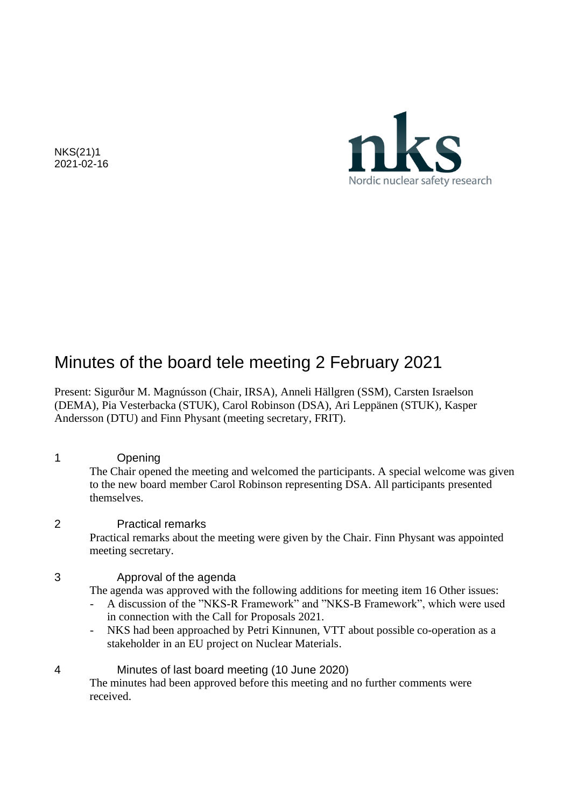NKS(21)1 2021-02-16



# Minutes of the board tele meeting 2 February 2021

Present: Sigurður M. Magnússon (Chair, IRSA), Anneli Hällgren (SSM), Carsten Israelson (DEMA), Pia Vesterbacka (STUK), Carol Robinson (DSA), Ari Leppänen (STUK), Kasper Andersson (DTU) and Finn Physant (meeting secretary, FRIT).

1 Opening

The Chair opened the meeting and welcomed the participants. A special welcome was given to the new board member Carol Robinson representing DSA. All participants presented themselves.

## 2 Practical remarks

Practical remarks about the meeting were given by the Chair. Finn Physant was appointed meeting secretary.

## 3 Approval of the agenda

The agenda was approved with the following additions for meeting item 16 Other issues:

- A discussion of the "NKS-R Framework" and "NKS-B Framework", which were used in connection with the Call for Proposals 2021.
- NKS had been approached by Petri Kinnunen, VTT about possible co-operation as a stakeholder in an EU project on Nuclear Materials.

## 4 Minutes of last board meeting (10 June 2020)

The minutes had been approved before this meeting and no further comments were received.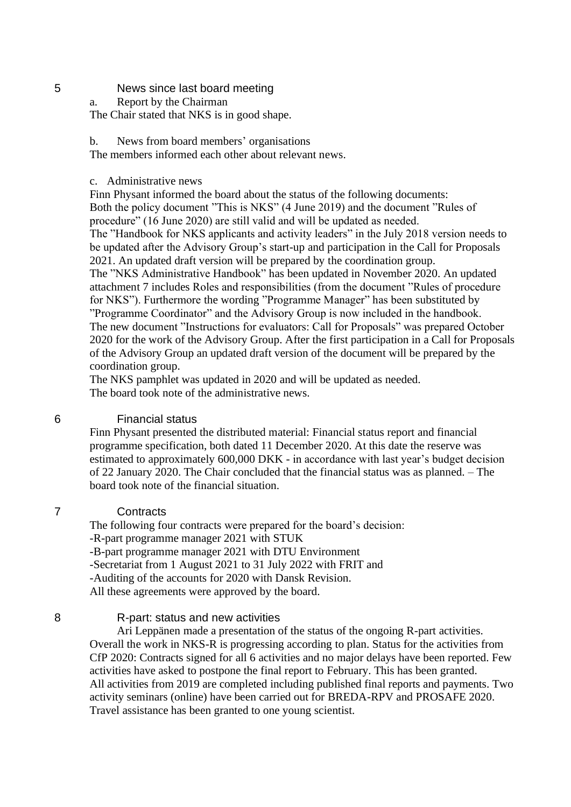#### 5 News since last board meeting

a. Report by the Chairman

The Chair stated that NKS is in good shape.

b. News from board members' organisations

The members informed each other about relevant news.

#### c. Administrative news

Finn Physant informed the board about the status of the following documents: Both the policy document "This is NKS" (4 June 2019) and the document "Rules of procedure" (16 June 2020) are still valid and will be updated as needed. The "Handbook for NKS applicants and activity leaders" in the July 2018 version needs to be updated after the Advisory Group's start-up and participation in the Call for Proposals 2021. An updated draft version will be prepared by the coordination group. The "NKS Administrative Handbook" has been updated in November 2020. An updated attachment 7 includes Roles and responsibilities (from the document "Rules of procedure for NKS"). Furthermore the wording "Programme Manager" has been substituted by "Programme Coordinator" and the Advisory Group is now included in the handbook. The new document "Instructions for evaluators: Call for Proposals" was prepared October 2020 for the work of the Advisory Group. After the first participation in a Call for Proposals of the Advisory Group an updated draft version of the document will be prepared by the coordination group.

The NKS pamphlet was updated in 2020 and will be updated as needed. The board took note of the administrative news.

#### 6 Financial status

Finn Physant presented the distributed material: Financial status report and financial programme specification, both dated 11 December 2020. At this date the reserve was estimated to approximately 600,000 DKK - in accordance with last year's budget decision of 22 January 2020. The Chair concluded that the financial status was as planned. – The board took note of the financial situation.

## 7 Contracts

The following four contracts were prepared for the board's decision: -R-part programme manager 2021 with STUK -B-part programme manager 2021 with DTU Environment -Secretariat from 1 August 2021 to 31 July 2022 with FRIT and -Auditing of the accounts for 2020 with Dansk Revision. All these agreements were approved by the board.

#### 8 R-part: status and new activities

Ari Leppänen made a presentation of the status of the ongoing R-part activities. Overall the work in NKS-R is progressing according to plan. Status for the activities from CfP 2020: Contracts signed for all 6 activities and no major delays have been reported. Few activities have asked to postpone the final report to February. This has been granted. All activities from 2019 are completed including published final reports and payments. Two activity seminars (online) have been carried out for BREDA-RPV and PROSAFE 2020. Travel assistance has been granted to one young scientist.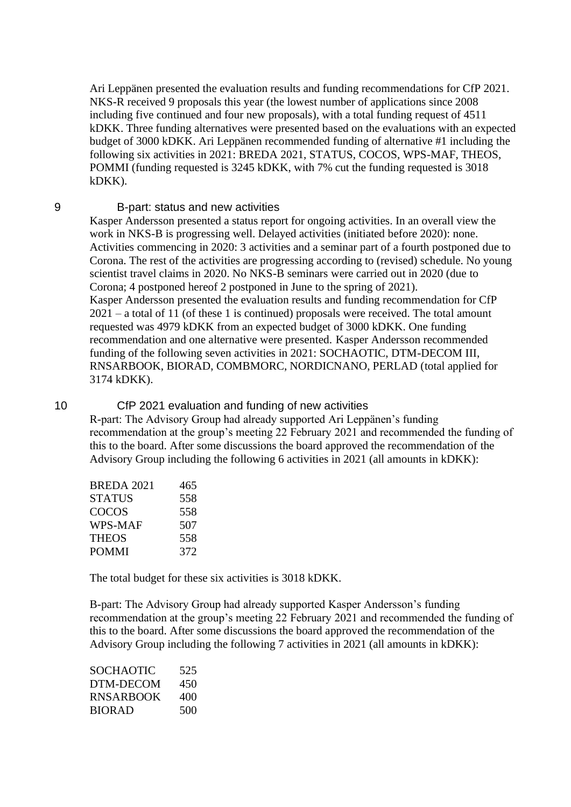Ari Leppänen presented the evaluation results and funding recommendations for CfP 2021. NKS-R received 9 proposals this year (the lowest number of applications since 2008 including five continued and four new proposals), with a total funding request of 4511 kDKK. Three funding alternatives were presented based on the evaluations with an expected budget of 3000 kDKK. Ari Leppänen recommended funding of alternative #1 including the following six activities in 2021: BREDA 2021, STATUS, COCOS, WPS-MAF, THEOS, POMMI (funding requested is 3245 kDKK, with 7% cut the funding requested is 3018 kDKK).

#### 9 B-part: status and new activities

Kasper Andersson presented a status report for ongoing activities. In an overall view the work in NKS-B is progressing well. Delayed activities (initiated before 2020): none. Activities commencing in 2020: 3 activities and a seminar part of a fourth postponed due to Corona. The rest of the activities are progressing according to (revised) schedule. No young scientist travel claims in 2020. No NKS-B seminars were carried out in 2020 (due to Corona; 4 postponed hereof 2 postponed in June to the spring of 2021). Kasper Andersson presented the evaluation results and funding recommendation for CfP 2021 – a total of 11 (of these 1 is continued) proposals were received. The total amount requested was 4979 kDKK from an expected budget of 3000 kDKK. One funding recommendation and one alternative were presented. Kasper Andersson recommended funding of the following seven activities in 2021: SOCHAOTIC, DTM-DECOM III, RNSARBOOK, BIORAD, COMBMORC, NORDICNANO, PERLAD (total applied for 3174 kDKK).

## 10 CfP 2021 evaluation and funding of new activities

R-part: The Advisory Group had already supported Ari Leppänen's funding recommendation at the group's meeting 22 February 2021 and recommended the funding of this to the board. After some discussions the board approved the recommendation of the Advisory Group including the following 6 activities in 2021 (all amounts in kDKK):

| <b>BREDA 2021</b> | 465 |
|-------------------|-----|
| STATUS            | 558 |
| COCOS             | 558 |
| WPS-MAF           | 507 |
| THEOS             | 558 |
| POMMI             | 372 |

The total budget for these six activities is 3018 kDKK.

B-part: The Advisory Group had already supported Kasper Andersson's funding recommendation at the group's meeting 22 February 2021 and recommended the funding of this to the board. After some discussions the board approved the recommendation of the Advisory Group including the following 7 activities in 2021 (all amounts in kDKK):

| SOCHAOTIC     | 525 |
|---------------|-----|
| DTM-DECOM     | 450 |
| RNSARBOOK     | 400 |
| <b>BIORAD</b> | 500 |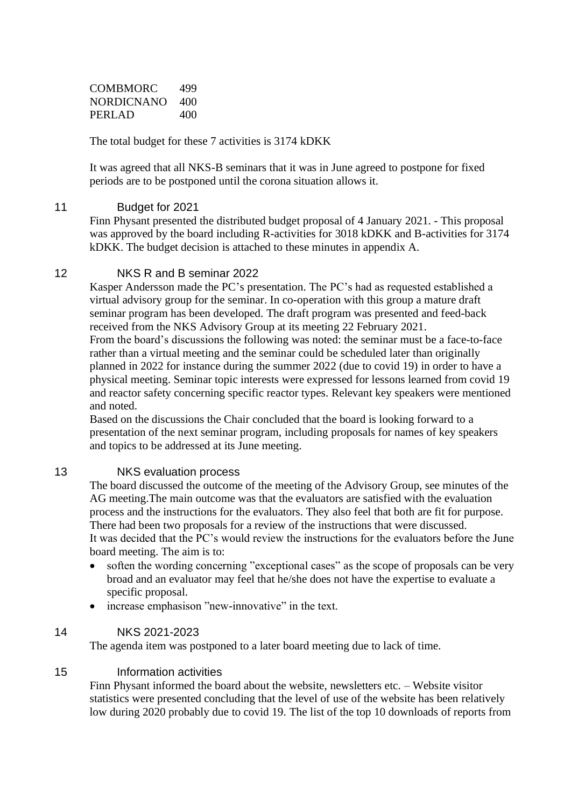COMBMORC 499 NORDICNANO 400 PERLAD 400

The total budget for these 7 activities is 3174 kDKK

It was agreed that all NKS-B seminars that it was in June agreed to postpone for fixed periods are to be postponed until the corona situation allows it.

## 11 Budget for 2021

Finn Physant presented the distributed budget proposal of 4 January 2021. - This proposal was approved by the board including R-activities for 3018 kDKK and B-activities for 3174 kDKK. The budget decision is attached to these minutes in appendix A.

## 12 NKS R and B seminar 2022

Kasper Andersson made the PC's presentation. The PC's had as requested established a virtual advisory group for the seminar. In co-operation with this group a mature draft seminar program has been developed. The draft program was presented and feed-back received from the NKS Advisory Group at its meeting 22 February 2021.

From the board's discussions the following was noted: the seminar must be a face-to-face rather than a virtual meeting and the seminar could be scheduled later than originally planned in 2022 for instance during the summer 2022 (due to covid 19) in order to have a physical meeting. Seminar topic interests were expressed for lessons learned from covid 19 and reactor safety concerning specific reactor types. Relevant key speakers were mentioned and noted.

Based on the discussions the Chair concluded that the board is looking forward to a presentation of the next seminar program, including proposals for names of key speakers and topics to be addressed at its June meeting.

## 13 NKS evaluation process

The board discussed the outcome of the meeting of the Advisory Group, see minutes of the AG meeting.The main outcome was that the evaluators are satisfied with the evaluation process and the instructions for the evaluators. They also feel that both are fit for purpose. There had been two proposals for a review of the instructions that were discussed. It was decided that the PC's would review the instructions for the evaluators before the June board meeting. The aim is to:

- soften the wording concerning "exceptional cases" as the scope of proposals can be very broad and an evaluator may feel that he/she does not have the expertise to evaluate a specific proposal.
- increase emphasison "new-innovative" in the text.

## 14 NKS 2021-2023

The agenda item was postponed to a later board meeting due to lack of time.

## 15 Information activities

Finn Physant informed the board about the website, newsletters etc. – Website visitor statistics were presented concluding that the level of use of the website has been relatively low during 2020 probably due to covid 19. The list of the top 10 downloads of reports from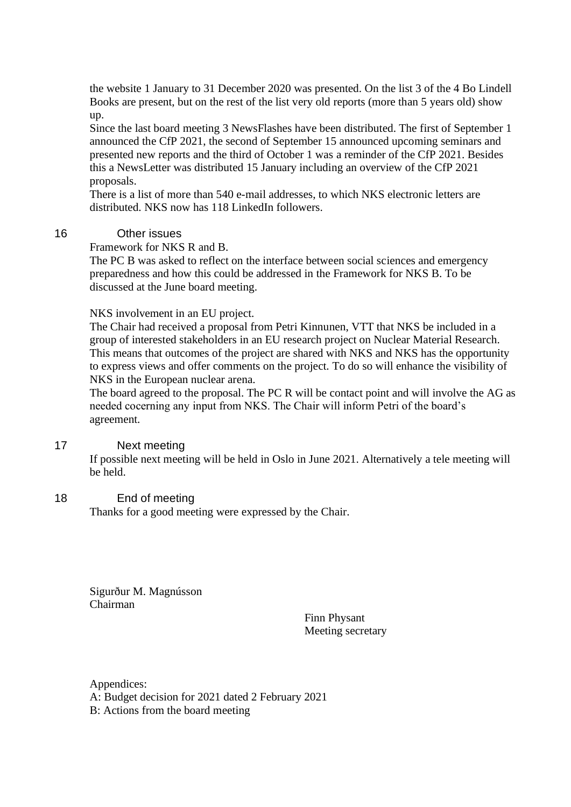the website 1 January to 31 December 2020 was presented. On the list 3 of the 4 Bo Lindell Books are present, but on the rest of the list very old reports (more than 5 years old) show up.

Since the last board meeting 3 NewsFlashes have been distributed. The first of September 1 announced the CfP 2021, the second of September 15 announced upcoming seminars and presented new reports and the third of October 1 was a reminder of the CfP 2021. Besides this a NewsLetter was distributed 15 January including an overview of the CfP 2021 proposals.

There is a list of more than 540 e-mail addresses, to which NKS electronic letters are distributed. NKS now has 118 LinkedIn followers.

## 16 Other issues

Framework for NKS R and B.

The PC B was asked to reflect on the interface between social sciences and emergency preparedness and how this could be addressed in the Framework for NKS B. To be discussed at the June board meeting.

#### NKS involvement in an EU project.

The Chair had received a proposal from Petri Kinnunen, VTT that NKS be included in a group of interested stakeholders in an EU research project on Nuclear Material Research. This means that outcomes of the project are shared with NKS and NKS has the opportunity to express views and offer comments on the project. To do so will enhance the visibility of NKS in the European nuclear arena.

The board agreed to the proposal. The PC R will be contact point and will involve the AG as needed cocerning any input from NKS. The Chair will inform Petri of the board's agreement.

#### 17 Next meeting

If possible next meeting will be held in Oslo in June 2021. Alternatively a tele meeting will be held.

#### 18 End of meeting

Thanks for a good meeting were expressed by the Chair.

Sigurður M. Magnússon Chairman

Finn Physant Meeting secretary

Appendices: A: Budget decision for 2021 dated 2 February 2021 B: Actions from the board meeting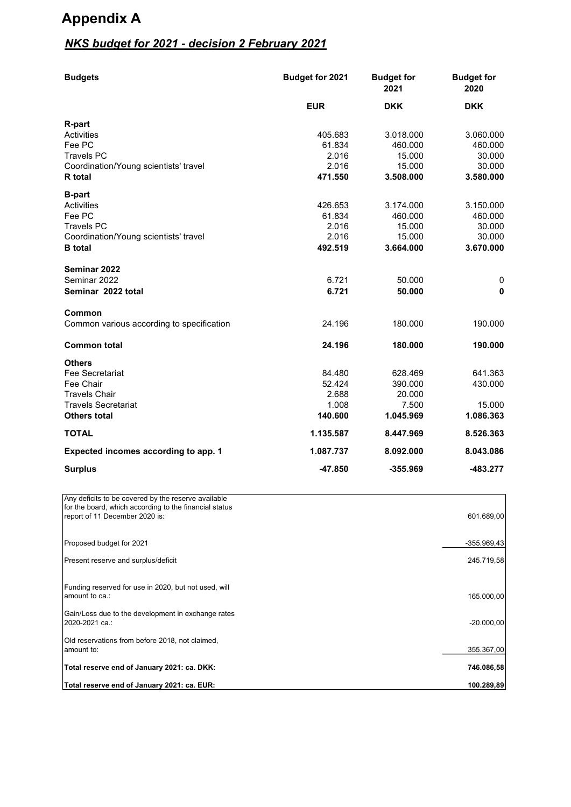# **Appendix A**

# *NKS budget for 2021 - decision 2 February 2021*

| <b>Budgets</b>                                                                           | Budget for 2021 | <b>Budget for</b><br>2021 | <b>Budget for</b><br>2020 |
|------------------------------------------------------------------------------------------|-----------------|---------------------------|---------------------------|
|                                                                                          | <b>EUR</b>      | <b>DKK</b>                | <b>DKK</b>                |
| R-part                                                                                   |                 |                           |                           |
| Activities                                                                               | 405.683         | 3.018.000                 | 3.060.000                 |
| Fee PC                                                                                   | 61.834          | 460.000                   | 460.000                   |
| <b>Travels PC</b>                                                                        | 2.016           | 15.000                    | 30.000                    |
| Coordination/Young scientists' travel                                                    | 2.016           | 15.000                    | 30.000                    |
| <b>R</b> total                                                                           | 471.550         | 3.508.000                 | 3.580.000                 |
| <b>B-part</b>                                                                            |                 |                           |                           |
| Activities                                                                               | 426.653         | 3.174.000                 | 3.150.000                 |
| Fee PC                                                                                   | 61.834          | 460.000                   | 460.000                   |
| <b>Travels PC</b>                                                                        | 2.016           | 15.000                    | 30.000                    |
| Coordination/Young scientists' travel                                                    | 2.016           | 15.000                    | 30.000                    |
| <b>B</b> total                                                                           | 492.519         | 3.664.000                 | 3.670.000                 |
| Seminar 2022                                                                             |                 |                           |                           |
| Seminar 2022                                                                             | 6.721           | 50.000                    | 0                         |
| Seminar 2022 total                                                                       | 6.721           | 50.000                    | 0                         |
|                                                                                          |                 |                           |                           |
| Common                                                                                   |                 |                           |                           |
| Common various according to specification                                                | 24.196          | 180.000                   | 190.000                   |
| <b>Common total</b>                                                                      | 24.196          | 180.000                   | 190.000                   |
| <b>Others</b>                                                                            |                 |                           |                           |
| Fee Secretariat                                                                          | 84.480          | 628.469                   | 641.363                   |
| Fee Chair                                                                                | 52.424          | 390.000                   | 430.000                   |
| <b>Travels Chair</b>                                                                     | 2.688           | 20.000                    |                           |
| <b>Travels Secretariat</b>                                                               | 1.008           | 7.500                     | 15.000                    |
| <b>Others total</b>                                                                      | 140.600         | 1.045.969                 | 1.086.363                 |
| <b>TOTAL</b>                                                                             | 1.135.587       | 8.447.969                 | 8.526.363                 |
| Expected incomes according to app. 1                                                     | 1.087.737       | 8.092.000                 | 8.043.086                 |
| <b>Surplus</b>                                                                           | $-47.850$       | $-355.969$                | -483.277                  |
|                                                                                          |                 |                           |                           |
| Any deficits to be covered by the reserve available                                      |                 |                           |                           |
| for the board, which according to the financial status<br>report of 11 December 2020 is: |                 |                           | 601.689,00                |
|                                                                                          |                 |                           |                           |
| Proposed budget for 2021                                                                 |                 |                           | -355.969,43               |
| Present reserve and surplus/deficit                                                      |                 |                           | 245.719,58                |

Funding reserved for use in 2020, but not used, will amount to ca.:  $165.000,00$ 

Gain/Loss due to the development in exchange rates 2020-2021 FD.: -20.000,00 Old reservations from before 2018, not claimed,<br>amount to:

DPRXQW WR: 355.367,00  $\overline{ }$ Total reserve end of January 2021: ca. DKK:  $\overline{ }$  746.086,58

Total reserve end of January 2021: ca. EUR: **100.289,89** and the serve end of January 2021: ca. EUR: **100.289,89**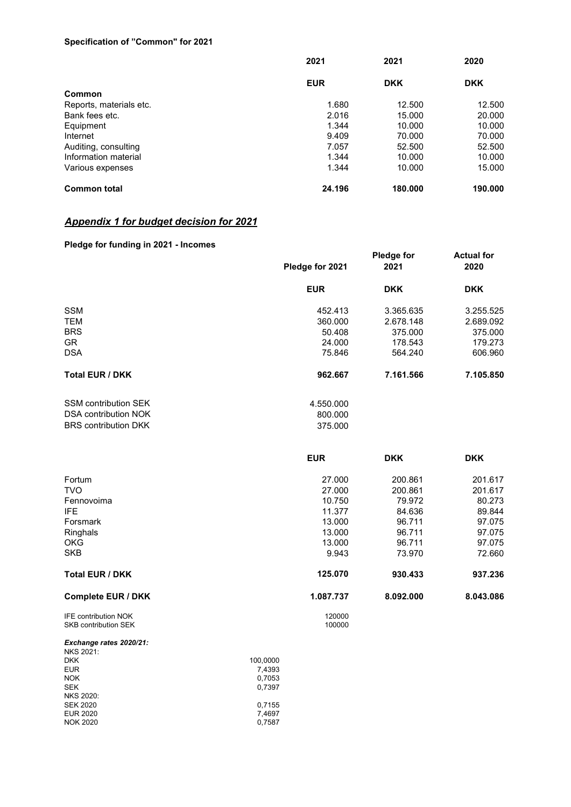#### **Specification of "Common" for 2021**

|                         | 2021       | 2021<br><b>DKK</b> | 2020<br><b>DKK</b> |
|-------------------------|------------|--------------------|--------------------|
|                         | <b>EUR</b> |                    |                    |
| Common                  |            |                    |                    |
| Reports, materials etc. | 1.680      | 12.500             | 12.500             |
| Bank fees etc.          | 2.016      | 15.000             | 20.000             |
| Equipment               | 1.344      | 10.000             | 10.000             |
| Internet                | 9.409      | 70.000             | 70.000             |
| Auditing, consulting    | 7.057      | 52.500             | 52.500             |
| Information material    | 1.344      | 10.000             | 10.000             |
| Various expenses        | 1.344      | 10.000             | 15.000             |
| <b>Common total</b>     | 24.196     | 180.000            | 190.000            |

## **Appendix 1 for budget decision for 2021**

## **Pledge for funding in 2021 - Incomes**

|                                                            | Pledge for 2021  | <b>Pledge for</b><br>2021 | <b>Actual for</b><br>2020 |
|------------------------------------------------------------|------------------|---------------------------|---------------------------|
|                                                            | <b>EUR</b>       | <b>DKK</b>                | <b>DKK</b>                |
| <b>SSM</b>                                                 | 452.413          | 3.365.635                 | 3.255.525                 |
| <b>TEM</b>                                                 | 360.000          | 2.678.148                 | 2.689.092                 |
| <b>BRS</b>                                                 | 50.408           | 375.000                   | 375.000                   |
| <b>GR</b>                                                  | 24.000           | 178.543                   | 179.273                   |
| <b>DSA</b>                                                 | 75.846           | 564.240                   | 606.960                   |
| Total EUR / DKK                                            | 962.667          | 7.161.566                 | 7.105.850                 |
| <b>SSM contribution SEK</b>                                | 4.550.000        |                           |                           |
| <b>DSA contribution NOK</b>                                | 800.000          |                           |                           |
| <b>BRS</b> contribution DKK                                | 375.000          |                           |                           |
|                                                            | <b>EUR</b>       | <b>DKK</b>                | <b>DKK</b>                |
| Fortum                                                     | 27.000           | 200.861                   | 201.617                   |
| <b>TVO</b>                                                 | 27.000           | 200.861                   | 201.617                   |
| Fennovoima                                                 | 10.750           | 79.972                    | 80.273                    |
| <b>IFE</b>                                                 | 11.377           | 84.636                    | 89.844                    |
| Forsmark                                                   | 13.000           | 96.711                    | 97.075                    |
| Ringhals                                                   | 13.000           | 96.711                    | 97.075                    |
| OKG                                                        | 13.000           | 96.711                    | 97.075                    |
| <b>SKB</b>                                                 | 9.943            | 73.970                    | 72.660                    |
| Total EUR / DKK                                            | 125.070          | 930.433                   | 937.236                   |
| <b>Complete EUR / DKK</b>                                  | 1.087.737        | 8.092.000                 | 8.043.086                 |
| <b>IFE contribution NOK</b><br><b>SKB contribution SEK</b> | 120000<br>100000 |                           |                           |
| Exchange rates 2020/21:<br><b>NKS 2021:</b>                |                  |                           |                           |

| $N\vee N$        |          |
|------------------|----------|
| <b>DKK</b>       | 100.0000 |
| <b>EUR</b>       | 7,4393   |
| <b>NOK</b>       | 0.7053   |
| <b>SEK</b>       | 0,7397   |
| <b>NKS 2020:</b> |          |
| <b>SEK 2020</b>  | 0.7155   |
| EUR 2020         | 7.4697   |
| <b>NOK 2020</b>  | 0.7587   |
|                  |          |